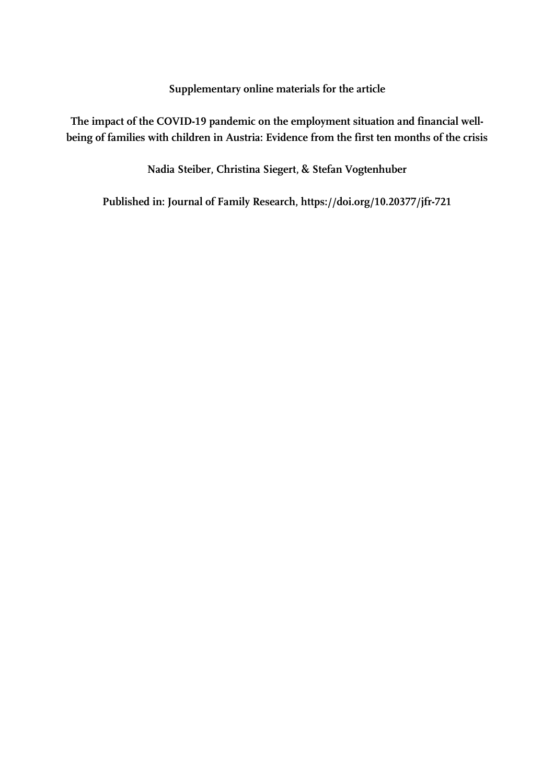**Supplementary online materials for the article** 

**The impact of the COVID-19 pandemic on the employment situation and financial wellbeing of families with children in Austria: Evidence from the first ten months of the crisis** 

**Nadia Steiber, Christina Siegert, & Stefan Vogtenhuber** 

**Published in: Journal of Family Research, https://doi.org/10.20377/jfr-721**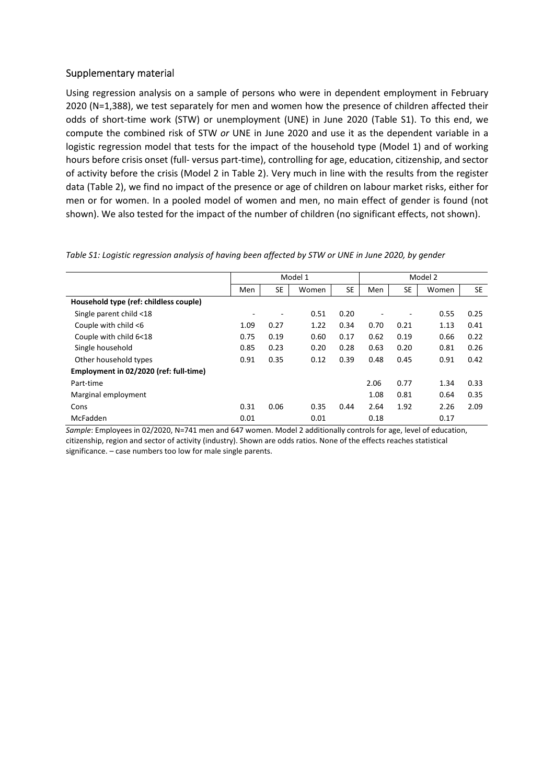## Supplementary material

Using regression analysis on a sample of persons who were in dependent employment in February 2020 (N=1,388), we test separately for men and women how the presence of children affected their odds of short-time work (STW) or unemployment (UNE) in June 2020 (Table S1). To this end, we compute the combined risk of STW *or* UNE in June 2020 and use it as the dependent variable in a logistic regression model that tests for the impact of the household type (Model 1) and of working hours before crisis onset (full- versus part-time), controlling for age, education, citizenship, and sector of activity before the crisis (Model 2 in Table 2). Very much in line with the results from the register data (Table 2), we find no impact of the presence or age of children on labour market risks, either for men or for women. In a pooled model of women and men, no main effect of gender is found (not shown). We also tested for the impact of the number of children (no significant effects, not shown).

|                                        | Model 1 |                          |       | Model 2   |      |           |       |           |
|----------------------------------------|---------|--------------------------|-------|-----------|------|-----------|-------|-----------|
|                                        | Men     | <b>SE</b>                | Women | <b>SE</b> | Men  | <b>SE</b> | Women | <b>SE</b> |
| Household type (ref: childless couple) |         |                          |       |           |      |           |       |           |
| Single parent child <18                | ٠       | $\overline{\phantom{a}}$ | 0.51  | 0.20      |      |           | 0.55  | 0.25      |
| Couple with child <6                   | 1.09    | 0.27                     | 1.22  | 0.34      | 0.70 | 0.21      | 1.13  | 0.41      |
| Couple with child 6<18                 | 0.75    | 0.19                     | 0.60  | 0.17      | 0.62 | 0.19      | 0.66  | 0.22      |
| Single household                       | 0.85    | 0.23                     | 0.20  | 0.28      | 0.63 | 0.20      | 0.81  | 0.26      |
| Other household types                  | 0.91    | 0.35                     | 0.12  | 0.39      | 0.48 | 0.45      | 0.91  | 0.42      |
| Employment in 02/2020 (ref: full-time) |         |                          |       |           |      |           |       |           |
| Part-time                              |         |                          |       |           | 2.06 | 0.77      | 1.34  | 0.33      |
| Marginal employment                    |         |                          |       |           | 1.08 | 0.81      | 0.64  | 0.35      |
| Cons                                   | 0.31    | 0.06                     | 0.35  | 0.44      | 2.64 | 1.92      | 2.26  | 2.09      |
| McFadden                               | 0.01    |                          | 0.01  |           | 0.18 |           | 0.17  |           |

*Table S1: Logistic regression analysis of having been affected by STW or UNE in June 2020, by gender* 

*Sample*: Employees in 02/2020, N=741 men and 647 women. Model 2 additionally controls for age, level of education, citizenship, region and sector of activity (industry). Shown are odds ratios. None of the effects reaches statistical significance. – case numbers too low for male single parents.